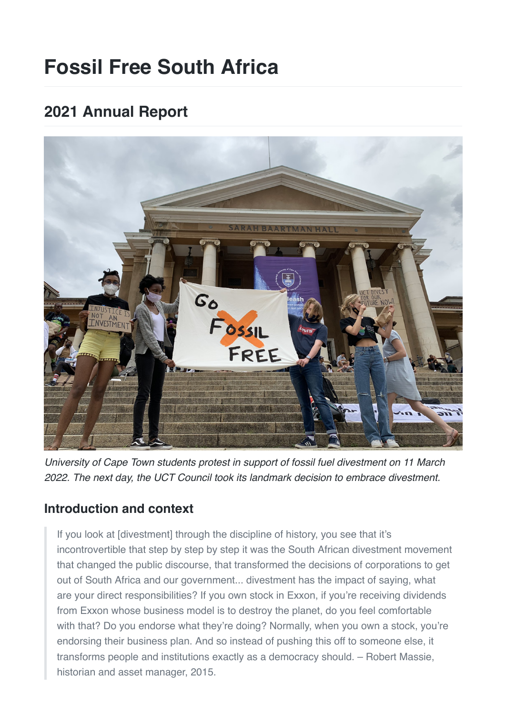# **Fossil Free South Africa**

## **2021 Annual Report**



*University of Cape Town students protest in support of fossil fuel divestment on 11 March 2022. The next day, the UCT Council took its landmark decision to embrace divestment.*

## **Introduction and context**

If you look at [divestment] through the discipline of history, you see that it's incontrovertible that step by step by step it was the South African divestment movement that changed the public discourse, that transformed the decisions of corporations to get out of South Africa and our government... divestment has the impact of saying, what are your direct responsibilities? If you own stock in Exxon, if you're receiving dividends from Exxon whose business model is to destroy the planet, do you feel comfortable with that? Do you endorse what they're doing? Normally, when you own a stock, you're endorsing their business plan. And so instead of pushing this off to someone else, it transforms people and institutions exactly as a democracy should. – Robert Massie, historian and asset manager, 2015.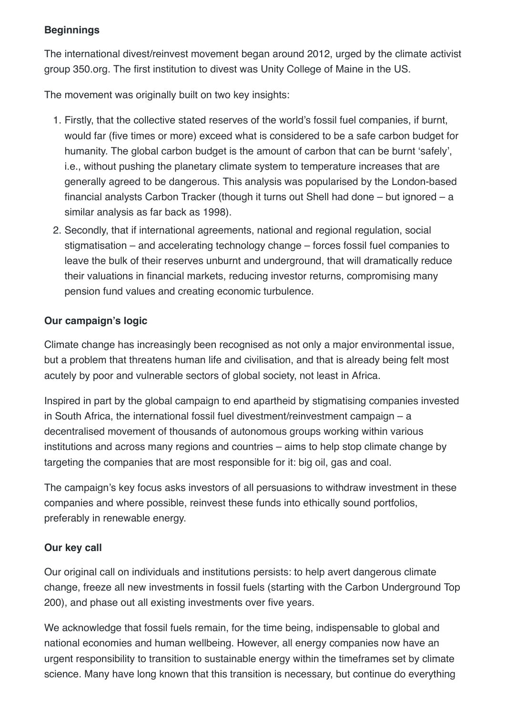#### **Beginnings**

The international divest/reinvest movement began around 2012, urged by the climate activist group 350.org. The first institution to divest was Unity College of Maine in the US.

The movement was originally built on two key insights:

- 1. Firstly, that the collective stated reserves of the world's fossil fuel companies, if burnt, would far (five times or more) exceed what is considered to be a safe carbon budget for humanity. The global carbon budget is the amount of carbon that can be burnt 'safely', i.e., without pushing the planetary climate system to temperature increases that are generally agreed to be dangerous. This analysis was popularised by the London-based financial analysts Carbon Tracker (though it turns out Shell had done – but ignored – a similar analysis as far back as 1998).
- 2. Secondly, that if international agreements, national and regional regulation, social stigmatisation – and accelerating technology change – forces fossil fuel companies to leave the bulk of their reserves unburnt and underground, that will dramatically reduce their valuations in financial markets, reducing investor returns, compromising many pension fund values and creating economic turbulence.

#### **Our campaign's logic**

Climate change has increasingly been recognised as not only a major environmental issue, but a problem that threatens human life and civilisation, and that is already being felt most acutely by poor and vulnerable sectors of global society, not least in Africa.

Inspired in part by the global campaign to end apartheid by stigmatising companies invested in South Africa, the international fossil fuel divestment/reinvestment campaign – a decentralised movement of thousands of autonomous groups working within various institutions and across many regions and countries – aims to help stop climate change by targeting the companies that are most responsible for it: big oil, gas and coal.

The campaign's key focus asks investors of all persuasions to withdraw investment in these companies and where possible, reinvest these funds into ethically sound portfolios, preferably in renewable energy.

#### **Our key call**

Our original call on individuals and institutions persists: to help avert dangerous climate change, freeze all new investments in fossil fuels (starting with the Carbon Underground Top 200), and phase out all existing investments over five years.

We acknowledge that fossil fuels remain, for the time being, indispensable to global and national economies and human wellbeing. However, all energy companies now have an urgent responsibility to transition to sustainable energy within the timeframes set by climate science. Many have long known that this transition is necessary, but continue do everything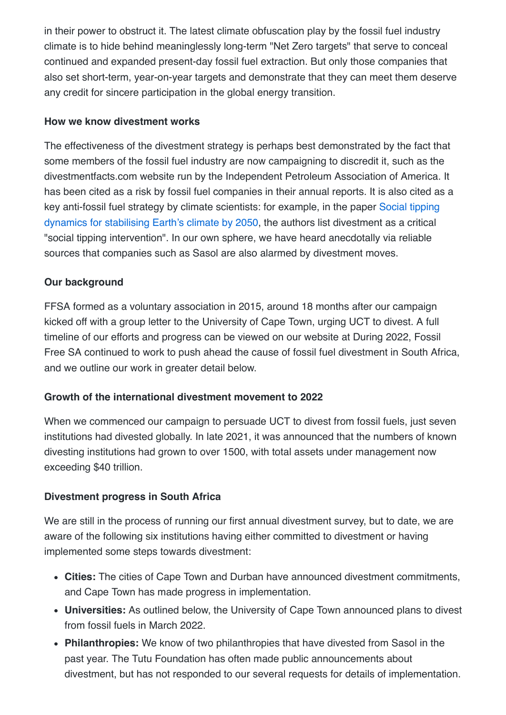in their power to obstruct it. The latest climate obfuscation play by the fossil fuel industry climate is to hide behind meaninglessly long-term "Net Zero targets" that serve to conceal continued and expanded present-day fossil fuel extraction. But only those companies that also set short-term, year-on-year targets and demonstrate that they can meet them deserve any credit for sincere participation in the global energy transition.

#### **How we know divestment works**

The effectiveness of the divestment strategy is perhaps best demonstrated by the fact that some members of the fossil fuel industry are now campaigning to discredit it, such as the divestmentfacts.com website run by the Independent Petroleum Association of America. It has been cited as a risk by fossil fuel companies in their annual reports. It is also cited as a [key anti-fossil fuel strategy by climate scientists: for example, in the paper Social tipping](https://www.pnas.org/doi/10.1073/pnas.1900577117) dynamics for stabilising Earth's climate by 2050, the authors list divestment as a critical "social tipping intervention". In our own sphere, we have heard anecdotally via reliable sources that companies such as Sasol are also alarmed by divestment moves.

#### **Our background**

FFSA formed as a voluntary association in 2015, around 18 months after our campaign kicked off with a group letter to the University of Cape Town, urging UCT to divest. A full timeline of our efforts and progress can be viewed on our website at During 2022, Fossil Free SA continued to work to push ahead the cause of fossil fuel divestment in South Africa, and we outline our work in greater detail below.

#### **Growth of the international divestment movement to 2022**

When we commenced our campaign to persuade UCT to divest from fossil fuels, just seven institutions had divested globally. In late 2021, it was announced that the numbers of known divesting institutions had grown to over 1500, with total assets under management now exceeding \$40 trillion.

#### **Divestment progress in South Africa**

We are still in the process of running our first annual divestment survey, but to date, we are aware of the following six institutions having either committed to divestment or having implemented some steps towards divestment:

- **Cities:** The cities of Cape Town and Durban have announced divestment commitments, and Cape Town has made progress in implementation.
- **Universities:** As outlined below, the University of Cape Town announced plans to divest from fossil fuels in March 2022.
- **Philanthropies:** We know of two philanthropies that have divested from Sasol in the past year. The Tutu Foundation has often made public announcements about divestment, but has not responded to our several requests for details of implementation.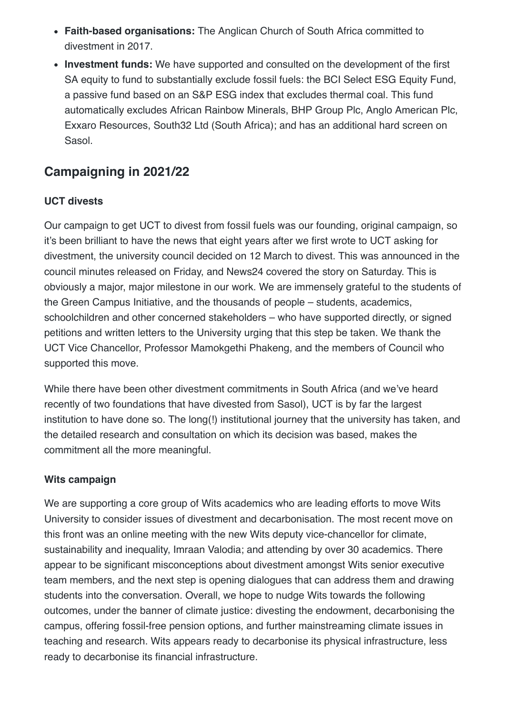- **Faith-based organisations:** The Anglican Church of South Africa committed to divestment in 2017.
- **Investment funds:** We have supported and consulted on the development of the first SA equity to fund to substantially exclude fossil fuels: the BCI Select ESG Equity Fund, a passive fund based on an S&P ESG index that excludes thermal coal. This fund automatically excludes African Rainbow Minerals, BHP Group Plc, Anglo American Plc, Exxaro Resources, South32 Ltd (South Africa); and has an additional hard screen on Sasol.

## **Campaigning in 2021/22**

#### **UCT divests**

Our campaign to get UCT to divest from fossil fuels was our founding, original campaign, so it's been brilliant to have the news that eight years after we first wrote to UCT asking for divestment, the university council decided on 12 March to divest. This was announced in the council minutes released on Friday, and News24 covered the story on Saturday. This is obviously a major, major milestone in our work. We are immensely grateful to the students of the Green Campus Initiative, and the thousands of people – students, academics, schoolchildren and other concerned stakeholders – who have supported directly, or signed petitions and written letters to the University urging that this step be taken. We thank the UCT Vice Chancellor, Professor Mamokgethi Phakeng, and the members of Council who supported this move.

While there have been other divestment commitments in South Africa (and we've heard recently of two foundations that have divested from Sasol), UCT is by far the largest institution to have done so. The long(!) institutional journey that the university has taken, and the detailed research and consultation on which its decision was based, makes the commitment all the more meaningful.

#### **Wits campaign**

We are supporting a core group of Wits academics who are leading efforts to move Wits University to consider issues of divestment and decarbonisation. The most recent move on this front was an online meeting with the new Wits deputy vice-chancellor for climate, sustainability and inequality, Imraan Valodia; and attending by over 30 academics. There appear to be significant misconceptions about divestment amongst Wits senior executive team members, and the next step is opening dialogues that can address them and drawing students into the conversation. Overall, we hope to nudge Wits towards the following outcomes, under the banner of climate justice: divesting the endowment, decarbonising the campus, offering fossil-free pension options, and further mainstreaming climate issues in teaching and research. Wits appears ready to decarbonise its physical infrastructure, less ready to decarbonise its financial infrastructure.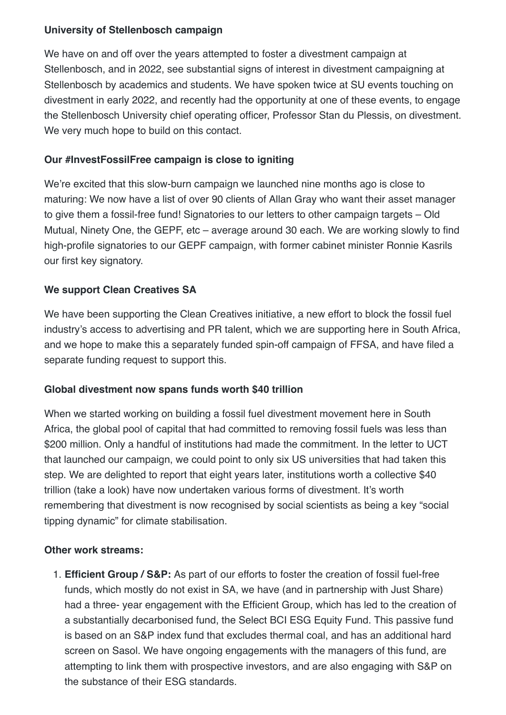#### **University of Stellenbosch campaign**

We have on and off over the years attempted to foster a divestment campaign at Stellenbosch, and in 2022, see substantial signs of interest in divestment campaigning at Stellenbosch by academics and students. We have spoken twice at SU events touching on divestment in early 2022, and recently had the opportunity at one of these events, to engage the Stellenbosch University chief operating officer, Professor Stan du Plessis, on divestment. We very much hope to build on this contact.

#### **Our #InvestFossilFree campaign is close to igniting**

We're excited that this slow-burn campaign we launched nine months ago is close to maturing: We now have a list of over 90 clients of Allan Gray who want their asset manager to give them a fossil-free fund! Signatories to our letters to other campaign targets – Old Mutual, Ninety One, the GEPF, etc – average around 30 each. We are working slowly to find high-profile signatories to our GEPF campaign, with former cabinet minister Ronnie Kasrils our first key signatory.

#### **We support Clean Creatives SA**

We have been supporting the Clean Creatives initiative, a new effort to block the fossil fuel industry's access to advertising and PR talent, which we are supporting here in South Africa, and we hope to make this a separately funded spin-off campaign of FFSA, and have filed a separate funding request to support this.

#### **Global divestment now spans funds worth \$40 trillion**

When we started working on building a fossil fuel divestment movement here in South Africa, the global pool of capital that had committed to removing fossil fuels was less than \$200 million. Only a handful of institutions had made the commitment. In the letter to UCT that launched our campaign, we could point to only six US universities that had taken this step. We are delighted to report that eight years later, institutions worth a collective \$40 trillion (take a look) have now undertaken various forms of divestment. It's worth remembering that divestment is now recognised by social scientists as being a key "social tipping dynamic" for climate stabilisation.

#### **Other work streams:**

1. **Efficient Group / S&P:** As part of our efforts to foster the creation of fossil fuel-free funds, which mostly do not exist in SA, we have (and in partnership with Just Share) had a three- year engagement with the Efficient Group, which has led to the creation of a substantially decarbonised fund, the Select BCI ESG Equity Fund. This passive fund is based on an S&P index fund that excludes thermal coal, and has an additional hard screen on Sasol. We have ongoing engagements with the managers of this fund, are attempting to link them with prospective investors, and are also engaging with S&P on the substance of their ESG standards.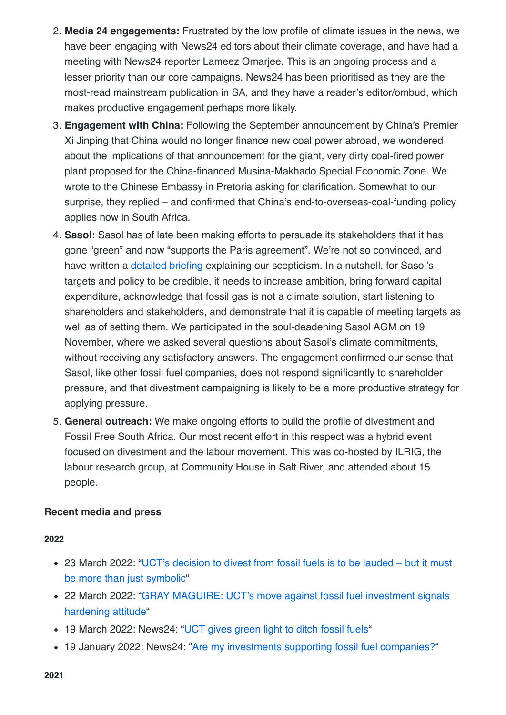- 2. **Media 24 engagements:** Frustrated by the low profile of climate issues in the news, we have been engaging with News24 editors about their climate coverage, and have had a meeting with News24 reporter Lameez Omariee. This is an ongoing process and a lesser priority than our core campaigns. News24 has been prioritised as they are the most-read mainstream publication in SA, and they have a reader's editor/ombud, which makes productive engagement perhaps more likely.
- 3. **Engagement with China:** Following the September announcement by China's Premier Xi Jinping that China would no longer finance new coal power abroad, we wondered about the implications of that announcement for the giant, very dirty coal-fired power plant proposed for the China-financed Musina-Makhado Special Economic Zone. We wrote to the Chinese Embassy in Pretoria asking for clarification. Somewhat to our surprise, they replied – and confirmed that China's end-to-overseas-coal-funding policy applies now in South Africa.
- 4. **Sasol:** Sasol has of late been making efforts to persuade its stakeholders that it has gone "green" and now "supports the Paris agreement". We're not so convinced, and have written a [detailed briefing](file:///Users/davidlepage/Library/Mobile%20Documents/com~apple~CloudDocs/Nota/Nota/Fossil%20Free%20SA) explaining our scepticism. In a nutshell, for Sasol's targets and policy to be credible, it needs to increase ambition, bring forward capital expenditure, acknowledge that fossil gas is not a climate solution, start listening to shareholders and stakeholders, and demonstrate that it is capable of meeting targets as well as of setting them. We participated in the soul-deadening Sasol AGM on 19 November, where we asked several questions about Sasol's climate commitments, without receiving any satisfactory answers. The engagement confirmed our sense that Sasol, like other fossil fuel companies, does not respond significantly to shareholder pressure, and that divestment campaigning is likely to be a more productive strategy for applying pressure.
- 5. **General outreach:** We make ongoing efforts to build the profile of divestment and Fossil Free South Africa. Our most recent effort in this respect was a hybrid event focused on divestment and the labour movement. This was co-hosted by ILRIG, the labour research group, at Community House in Salt River, and attended about 15 people.

#### **Recent media and press**

#### **2022**

- [23 March 2022: "UCT's decision to divest from fossil fuels is to be lauded but it must](https://www.dailymaverick.co.za/opinionista/2022-03-23-ucts-decision-to-divest-from-fossil-fuels-is-to-be-lauded-but-it-must-be-more-than-just-symbolic/) be more than just symbolic"
- [22 March 2022: "GRAY MAGUIRE: UCT's move against fossil fuel investment signals](https://www.businesslive.co.za/bd/opinion/columnists/2022-03-22-gray-maguire-ucts-move-against-fossil-fuel-investment-signals-hardening-attitude/) hardening attitude"
- 19 March 2022: News24: "[UCT gives green light to ditch fossil fuels"](https://www.news24.com/fin24/companies/uct-gives-green-light-to-ditch-fossil-fuels-20220319)
- 19 January 2022: News24: ["Are my investments supporting fossil fuel companies?](https://www.news24.com/fin24/opinion/opinion-are-my-investments-supporting-fossil-fuel-companies-20220119)"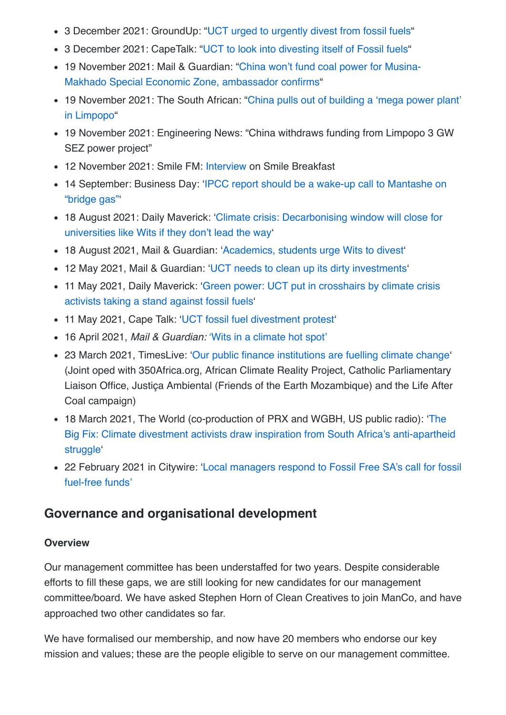- 3 December 2021: GroundUp: "[UCT urged to urgently divest from fossil fuels](https://www.groundup.org.za/article/uct-urged-urgently-divest-fossil-fuels/)"
- 3 December 2021: CapeTalk: "[UCT to look into divesting itself of Fossil fuels](https://www.capetalk.co.za/podcasts/144/afternoon-drive-with-john-maytham/571273/uct-to-look-into-divesting-itself-of-fossil-fuels)"
- [19 November 2021: Mail & Guardian: "China won't fund coal power for Musina-](https://mg.co.za/environment/2021-11-18-china-wont-fund-coal-power-for-musina-makhado-special-economic-zone-ambassador-confirms/)Makhado Special Economic Zone, ambassador confirms"
- [19 November 2021: The South African: "China pulls out of building a 'mega power plant'](https://www.thesouthafrican.com/news/breaking-china-building-power-plant-limpopo-latest-update/) in Limpopo"
- 19 November 2021: Engineering News: "China withdraws funding from Limpopo 3 GW SEZ power project"
- 12 November 2021: Smile FM: [Interview](https://smile904.fm/listen-david-from-fossil-free-south-africa-on-smile-breakfast/) on Smile Breakfast
- [14 September: Business Day: 'IPCC report should be a wake-up call to Mantashe on](https://www.businesslive.co.za/bd/opinion/2021-09-14-david-le-page-ipcc-report-should-be-a-wake-up-call-to-mantashe-on-bridge-gas/) "bridge gas"'
- [18 August 2021: Daily Maverick: 'Climate crisis: Decarbonising window will close for](https://www.dailymaverick.co.za/article/2021-08-18-climate-crisis-decarbonising-window-will-close-for-universities-like-wits-if-they-dont-lead-the-way/) universities like Wits if they don't lead the way'
- 18 August 2021, Mail & Guardian: '[Academics, students urge Wits to divest'](https://mg.co.za/environment/2021-08-18-academics-students-urge-wits-university-to-divest-from-fossil-fuels/)
- 12 May 2021, Mail & Guardian: '[UCT needs to clean up its dirty investments'](https://mg.co.za/opinion/2021-05-12-uct-needs-to-clean-up-its-dirty-investments/)
- [11 May 2021, Daily Maverick: 'Green power: UCT put in crosshairs by climate crisis](https://www.dailymaverick.co.za/article/2021-05-11-green-power-uct-put-in-crosshairs-by-climate-crisis-activists-taking-a-stand-against-fossil-fuels/) activists taking a stand against fossil fuels'
- 11 May 2021, Cape Talk: '[UCT fossil fuel divestment protest](https://www.capetalk.co.za/podcasts/144/afternoon-drive-with-john-maytham/513216/uct-fossil-fuel-divestment-protest)'
- 16 April 2021, *Mail & Guardian:* ['Wits in a climate hot spot'](https://mg.co.za/environment/2021-04-16-wits-in-a-climate-hot-spot/)
- 23 March 2021, TimesLive: ['Our public finance institutions are fuelling climate change](https://www.timeslive.co.za/ideas/2021-03-22-opinion--our-public-finance-institutions-are-fuelling-climate-change/)' (Joint oped with 350Africa.org, African Climate Reality Project, Catholic Parliamentary Liaison Office, Justiça Ambiental (Friends of the Earth Mozambique) and the Life After Coal campaign)
- 18 March 2021, The World (co-production of PRX and WGBH, US public radio): 'The [Big Fix: Climate divestment activists draw inspiration from South Africa's anti-apartheid](https://www.pri.org/stories/2021-03-18/climate-divestment-activists-draw-inspiration-south-africa-s-anti-apartheid) struggle'
- [22 February 2021 in Citywire: 'Local managers respond to Fossil Free SA's call for fossil](https://fossilfreesa.org.za/wp-content/uploads/2021/02/20210222-Local-managers-respond-to-Fossil-Free-SAs-call-for-fossil-fuel-free-funds-Citywire.pdf) fuel-free funds'

### **Governance and organisational development**

#### **Overview**

Our management committee has been understaffed for two years. Despite considerable efforts to fill these gaps, we are still looking for new candidates for our management committee/board. We have asked Stephen Horn of Clean Creatives to join ManCo, and have approached two other candidates so far.

We have formalised our membership, and now have 20 members who endorse our key mission and values; these are the people eligible to serve on our management committee.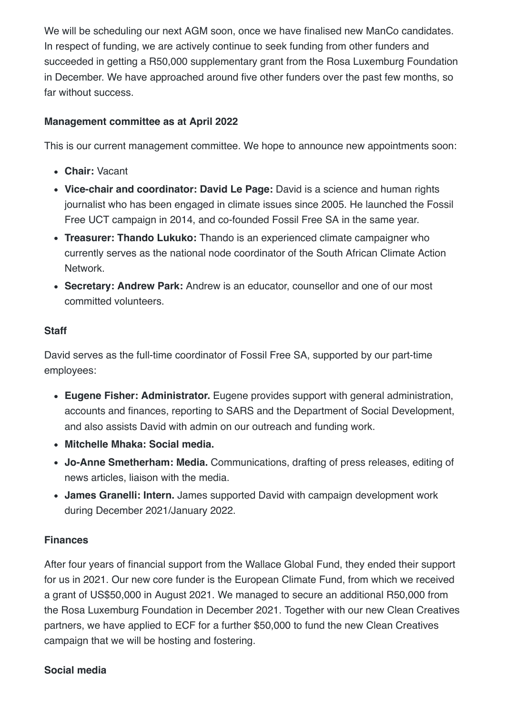We will be scheduling our next AGM soon, once we have finalised new ManCo candidates. In respect of funding, we are actively continue to seek funding from other funders and succeeded in getting a R50,000 supplementary grant from the Rosa Luxemburg Foundation in December. We have approached around five other funders over the past few months, so far without success.

#### **Management committee as at April 2022**

This is our current management committee. We hope to announce new appointments soon:

- **Chair:** Vacant
- **Vice-chair and coordinator: David Le Page:** David is a science and human rights journalist who has been engaged in climate issues since 2005. He launched the Fossil Free UCT campaign in 2014, and co-founded Fossil Free SA in the same year.
- **Treasurer: Thando Lukuko:** Thando is an experienced climate campaigner who currently serves as the national node coordinator of the South African Climate Action Network.
- **Secretary: Andrew Park:** Andrew is an educator, counsellor and one of our most committed volunteers.

#### **Staff**

David serves as the full-time coordinator of Fossil Free SA, supported by our part-time employees:

- **Eugene Fisher: Administrator.** Eugene provides support with general administration, accounts and finances, reporting to SARS and the Department of Social Development, and also assists David with admin on our outreach and funding work.
- **Mitchelle Mhaka: Social media.**
- **Jo-Anne Smetherham: Media.** Communications, drafting of press releases, editing of news articles, liaison with the media.
- **James Granelli: Intern.** James supported David with campaign development work during December 2021/January 2022.

#### **Finances**

After four years of financial support from the Wallace Global Fund, they ended their support for us in 2021. Our new core funder is the European Climate Fund, from which we received a grant of US\$50,000 in August 2021. We managed to secure an additional R50,000 from the Rosa Luxemburg Foundation in December 2021. Together with our new Clean Creatives partners, we have applied to ECF for a further \$50,000 to fund the new Clean Creatives campaign that we will be hosting and fostering.

#### **Social media**